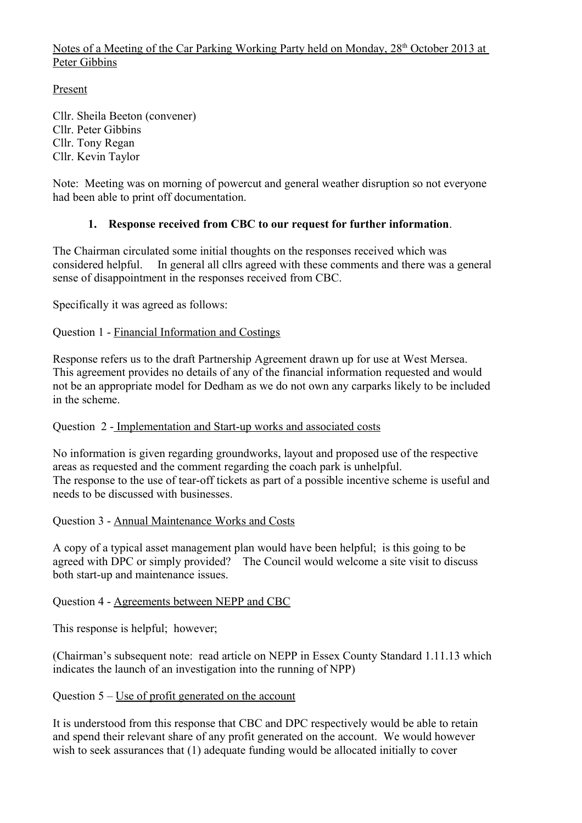Notes of a Meeting of the Car Parking Working Party held on Monday, 28<sup>th</sup> October 2013 at Peter Gibbins

Present

Cllr. Sheila Beeton (convener) Cllr. Peter Gibbins Cllr. Tony Regan Cllr. Kevin Taylor

Note: Meeting was on morning of powercut and general weather disruption so not everyone had been able to print off documentation.

## **1. Response received from CBC to our request for further information**.

The Chairman circulated some initial thoughts on the responses received which was considered helpful. In general all cllrs agreed with these comments and there was a general sense of disappointment in the responses received from CBC.

Specifically it was agreed as follows:

#### Question 1 - Financial Information and Costings

Response refers us to the draft Partnership Agreement drawn up for use at West Mersea. This agreement provides no details of any of the financial information requested and would not be an appropriate model for Dedham as we do not own any carparks likely to be included in the scheme.

Question 2 - Implementation and Start-up works and associated costs

No information is given regarding groundworks, layout and proposed use of the respective areas as requested and the comment regarding the coach park is unhelpful. The response to the use of tear-off tickets as part of a possible incentive scheme is useful and needs to be discussed with businesses.

#### Question 3 - Annual Maintenance Works and Costs

A copy of a typical asset management plan would have been helpful; is this going to be agreed with DPC or simply provided? The Council would welcome a site visit to discuss both start-up and maintenance issues.

#### Question 4 - Agreements between NEPP and CBC

This response is helpful; however;

(Chairman's subsequent note: read article on NEPP in Essex County Standard 1.11.13 which indicates the launch of an investigation into the running of NPP)

#### Question 5 – Use of profit generated on the account

It is understood from this response that CBC and DPC respectively would be able to retain and spend their relevant share of any profit generated on the account. We would however wish to seek assurances that (1) adequate funding would be allocated initially to cover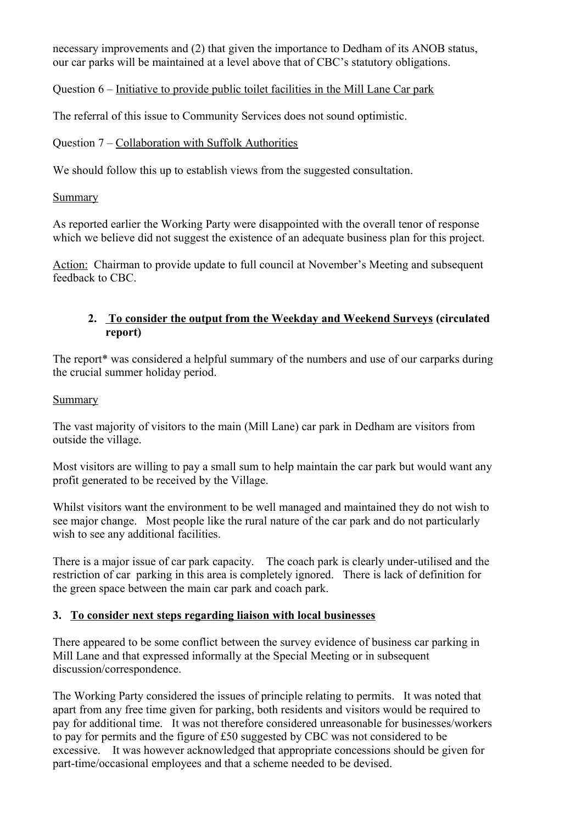necessary improvements and (2) that given the importance to Dedham of its ANOB status, our car parks will be maintained at a level above that of CBC's statutory obligations.

Question 6 – Initiative to provide public toilet facilities in the Mill Lane Car park

The referral of this issue to Community Services does not sound optimistic.

### Question 7 – Collaboration with Suffolk Authorities

We should follow this up to establish views from the suggested consultation.

#### Summary

As reported earlier the Working Party were disappointed with the overall tenor of response which we believe did not suggest the existence of an adequate business plan for this project.

Action: Chairman to provide update to full council at November's Meeting and subsequent feedback to CBC.

#### **2. To consider the output from the Weekday and Weekend Surveys (circulated report)**

The report\* was considered a helpful summary of the numbers and use of our carparks during the crucial summer holiday period.

#### Summary

The vast majority of visitors to the main (Mill Lane) car park in Dedham are visitors from outside the village.

Most visitors are willing to pay a small sum to help maintain the car park but would want any profit generated to be received by the Village.

Whilst visitors want the environment to be well managed and maintained they do not wish to see major change. Most people like the rural nature of the car park and do not particularly wish to see any additional facilities.

There is a major issue of car park capacity. The coach park is clearly under-utilised and the restriction of car parking in this area is completely ignored. There is lack of definition for the green space between the main car park and coach park.

#### **3. To consider next steps regarding liaison with local businesses**

There appeared to be some conflict between the survey evidence of business car parking in Mill Lane and that expressed informally at the Special Meeting or in subsequent discussion/correspondence.

The Working Party considered the issues of principle relating to permits. It was noted that apart from any free time given for parking, both residents and visitors would be required to pay for additional time. It was not therefore considered unreasonable for businesses/workers to pay for permits and the figure of £50 suggested by CBC was not considered to be excessive. It was however acknowledged that appropriate concessions should be given for part-time/occasional employees and that a scheme needed to be devised.